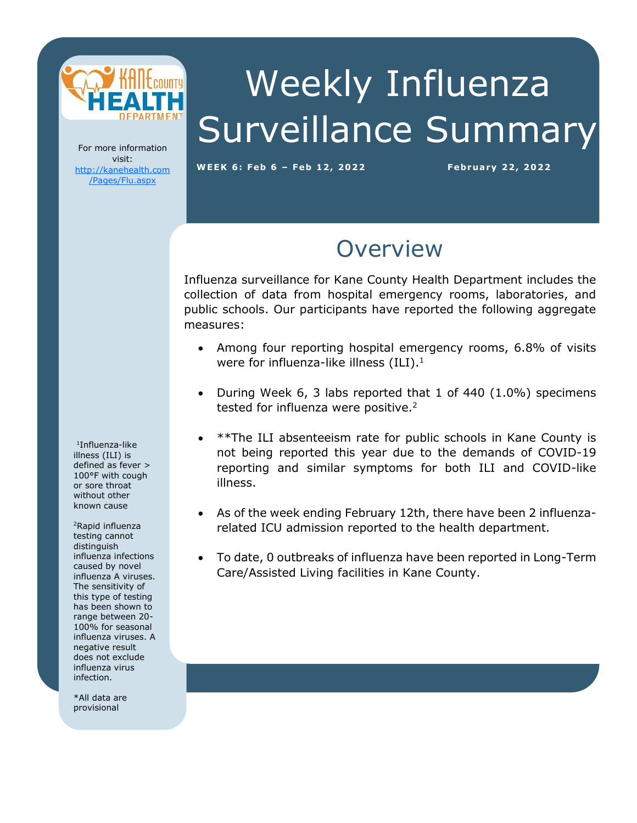

# Weekly Influenza Surveillance Summary

For more information visit: [http://kanehealth.com](http://kanehealth.com/Pages/Flu.aspx) [/Pages/Flu.aspx](http://kanehealth.com/Pages/Flu.aspx)

**WEEK 6: Feb 6 – Feb 12, 2 0 2 2 February 2 2, 2 0 22**

data that make this monitoring possible.

#### **Overview**

Influenza surveillance for Kane County Health Department includes the collection of data from hospital emergency rooms, laboratories, and public schools. Our participants have reported the following aggregate measures:

- Among four reporting hospital emergency rooms, 6.8% of visits were for influenza-like illness  $(ILI).<sup>1</sup>$
- During Week 6, 3 labs reported that 1 of 440 (1.0%) specimens tested for influenza were positive.<sup>2</sup>
- \*\*The ILI absenteeism rate for public schools in Kane County is not being reported this year due to the demands of COVID-19 reporting and similar symptoms for both ILI and COVID-like illness.
- As of the week ending February 12th, there have been 2 influenzarelated ICU admission reported to the health department.
- To date, 0 outbreaks of influenza have been reported in Long-Term Care/Assisted Living facilities in Kane County.

1 Influenza-like illness (ILI) is defined as fever > 100°F with cough or sore throat without other known cause

<sup>2</sup>Rapid influenza testing cannot distinguish influenza infections caused by novel influenza A viruses. The sensitivity of this type of testing has been shown to range between 20- 100% for seasonal influenza viruses. A negative result does not exclude influenza virus infection.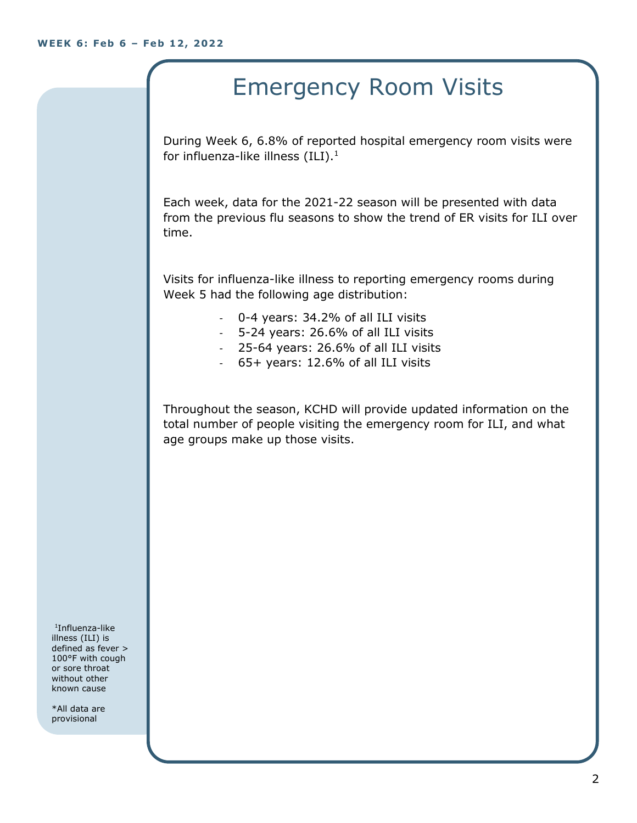## Emergency Room Visits

During Week 6, 6.8% of reported hospital emergency room visits were for influenza-like illness  $(III).<sup>1</sup>$ 

Each week, data for the 2021-22 season will be presented with data from the previous flu seasons to show the trend of ER visits for ILI over time.

Visits for influenza-like illness to reporting emergency rooms during Week 5 had the following age distribution:

- 0-4 years: 34.2% of all ILI visits
- 5-24 years: 26.6% of all ILI visits
- 25-64 years: 26.6% of all ILI visits
- 65+ years: 12.6% of all ILI visits

Throughout the season, KCHD will provide updated information on the total number of people visiting the emergency room for ILI, and what age groups make up those visits.

1 Influenza-like illness (ILI) is defined as fever > 100°F with cough or sore throat without other known cause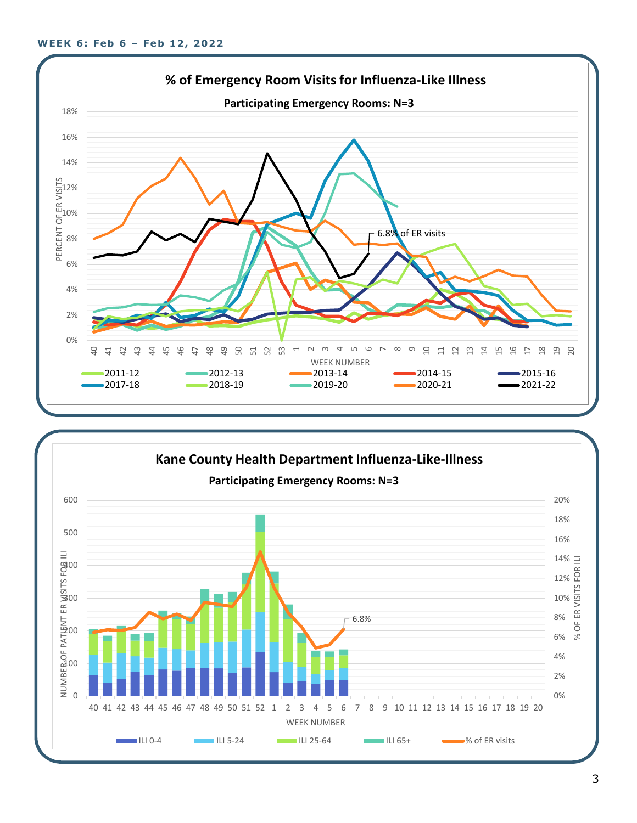

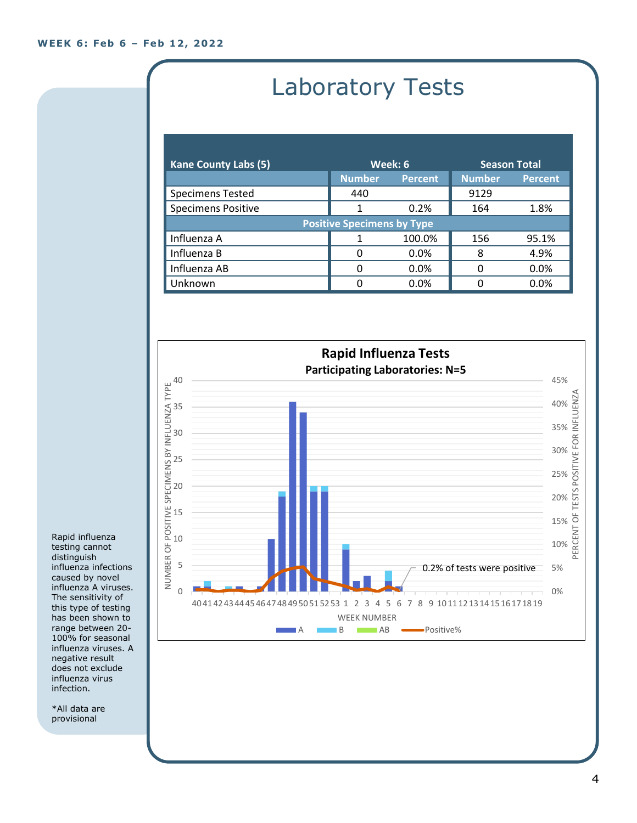## Laboratory Tests

| <b>Kane County Labs (5)</b>       | Week: 6       |                | <b>Season Total</b> |                |  |
|-----------------------------------|---------------|----------------|---------------------|----------------|--|
|                                   | <b>Number</b> | <b>Percent</b> | <b>Number</b>       | <b>Percent</b> |  |
| <b>Specimens Tested</b>           | 440           |                | 9129                |                |  |
| <b>Specimens Positive</b>         |               | 0.2%           | 164                 | 1.8%           |  |
| <b>Positive Specimens by Type</b> |               |                |                     |                |  |
| Influenza A                       |               | 100.0%         | 156                 | 95.1%          |  |
| Influenza B                       | O             | $0.0\%$        | 8                   | 4.9%           |  |
| Influenza AB                      | ŋ             | 0.0%           | 0                   | 0.0%           |  |
| Unknown                           | ŋ             | 0.0%           | n                   | 0.0%           |  |



Rapid influenza testing cannot distinguish influenza infections caused by novel influenza A viruses. The sensitivity of this type of testing has been shown to range between 20- 100% for seasonal influenza viruses. A negative result does not exclude influenza virus infection.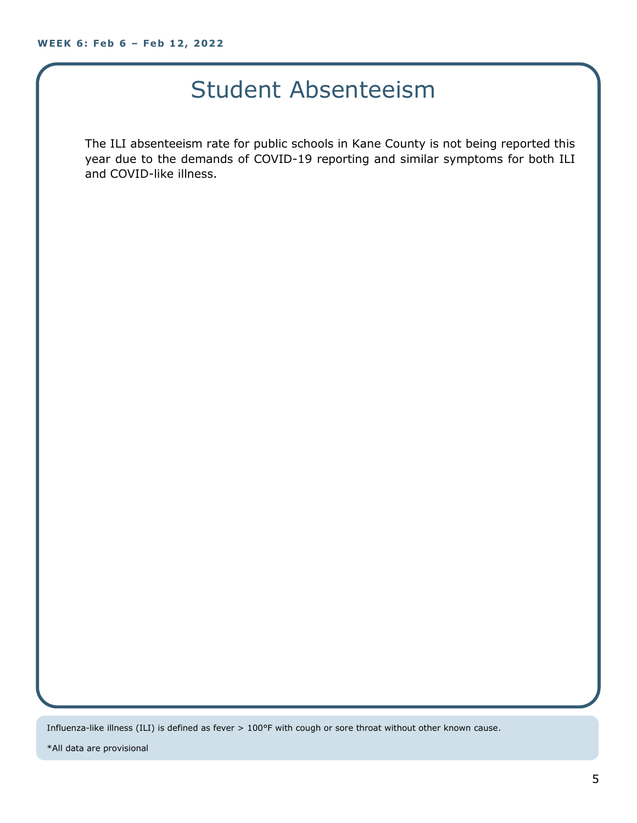#### Student Absenteeism

The ILI absenteeism rate for public schools in Kane County is not being reported this year due to the demands of COVID-19 reporting and similar symptoms for both ILI and COVID-like illness.

Influenza-like illness (ILI) is defined as fever > 100°F with cough or sore throat without other known cause.